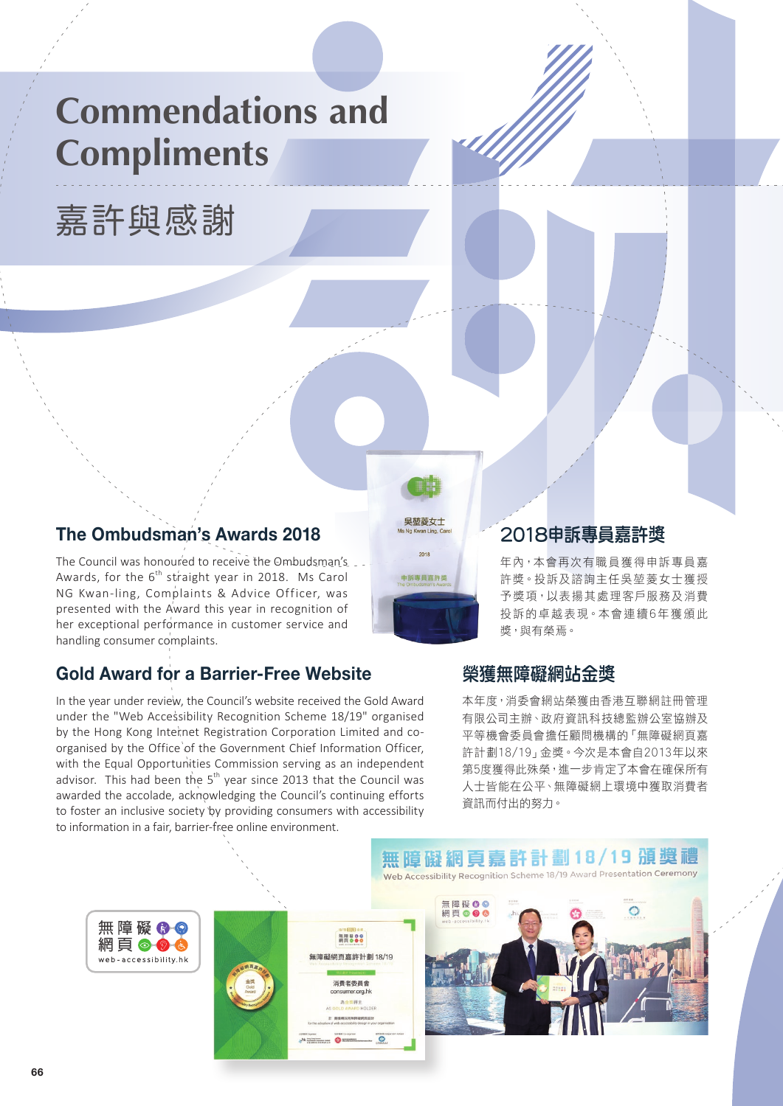# **Commendations and Compliments**

嘉許與感謝



The Council was honoured to receive the Ombudsman's Awards, for the  $6<sup>th</sup>$  straight year in 2018. Ms Carol NG Kwan-ling, Complaints & Advice Officer, was presented with the Award this year in recognition of her exceptional performance in customer service and handling consumer complaints.

# **Gold Award for a Barrier-Free Website**

無障礙的

網頁ののも

web-accessibility.hk

In the year under review, the Council's website received the Gold Award under the "Web Accessibility Recognition Scheme 18/19" organised by the Hong Kong Internet Registration Corporation Limited and coorganised by the Office of the Government Chief Information Officer, with the Equal Opportunities Commission serving as an independent advisor. This had been the  $5<sup>th</sup>$  year since 2013 that the Council was awarded the accolade, acknowledging the Council's continuing efforts to foster an inclusive society by providing consumers with accessibility to information in a fair, barrier-free online environment.



# 2018申訴專員嘉許獎

年內,本會再次有職員獲得申訴專員嘉 許獎。投訴及諮詢主任吳堃菱女士獲授 予獎項,以表揚其處理客戶服務及消費 投訴的卓越表現。本會連續6年獲頒此 獎,與有榮焉。

## 榮獲無障礙網站金獎

本年度,消委會網站榮獲由香港互聯網註冊管理 有限公司主辦、政府資訊科技總監辦公室協辦及 平等機會委員會擔任顧問機構的「無障礙網頁嘉 許計劃18/19」金獎。今次是本會自2013年以來 第5度獲得此殊榮,進一步肯定了本會在確保所有 人士皆能在公平、無障礙網上環境中獲取消費者 資訊而付出的努力。